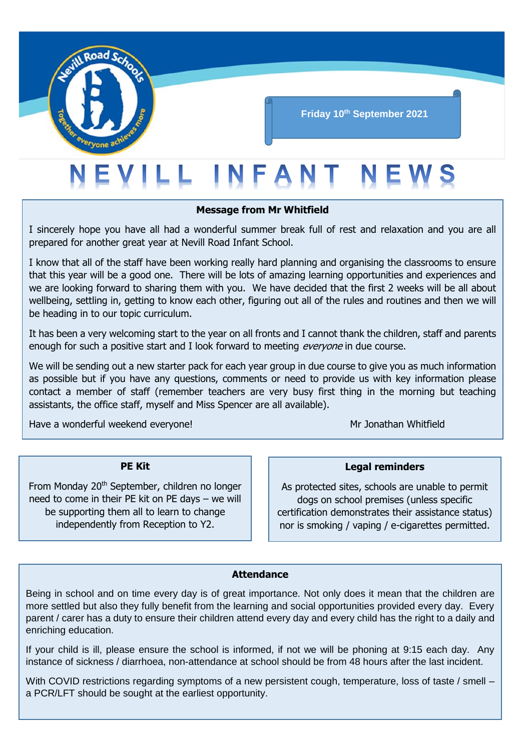

# **Friday 10th September 2021**

# EVILL INFANT NEV

#### **Message from Mr Whitfield**

I sincerely hope you have all had a wonderful summer break full of rest and relaxation and you are all prepared for another great year at Nevill Road Infant School.

I know that all of the staff have been working really hard planning and organising the classrooms to ensure that this year will be a good one. There will be lots of amazing learning opportunities and experiences and we are looking forward to sharing them with you. We have decided that the first 2 weeks will be all about wellbeing, settling in, getting to know each other, figuring out all of the rules and routines and then we will be heading in to our topic curriculum.

It has been a very welcoming start to the year on all fronts and I cannot thank the children, staff and parents enough for such a positive start and I look forward to meeting everyone in due course.

We will be sending out a new starter pack for each year group in due course to give you as much information as possible but if you have any questions, comments or need to provide us with key information please contact a member of staff (remember teachers are very busy first thing in the morning but teaching assistants, the office staff, myself and Miss Spencer are all available).

Have a wonderful weekend everyone!<br>
Mr Jonathan Whitfield

#### **PE Kit**

From Monday 20<sup>th</sup> September, children no longer need to come in their PE kit on PE days – we will be supporting them all to learn to change independently from Reception to Y2.

## **Legal reminders**

As protected sites, schools are unable to permit dogs on school premises (unless specific certification demonstrates their assistance status) nor is smoking / vaping / e-cigarettes permitted.

#### **Attendance**

Being in school and on time every day is of great importance. Not only does it mean that the children are more settled but also they fully benefit from the learning and social opportunities provided every day. Every parent / carer has a duty to ensure their children attend every day and every child has the right to a daily and enriching education.

If your child is ill, please ensure the school is informed, if not we will be phoning at 9:15 each day. Any instance of sickness / diarrhoea, non-attendance at school should be from 48 hours after the last incident.

With COVID restrictions regarding symptoms of a new persistent cough, temperature, loss of taste / smell – a PCR/LFT should be sought at the earliest opportunity.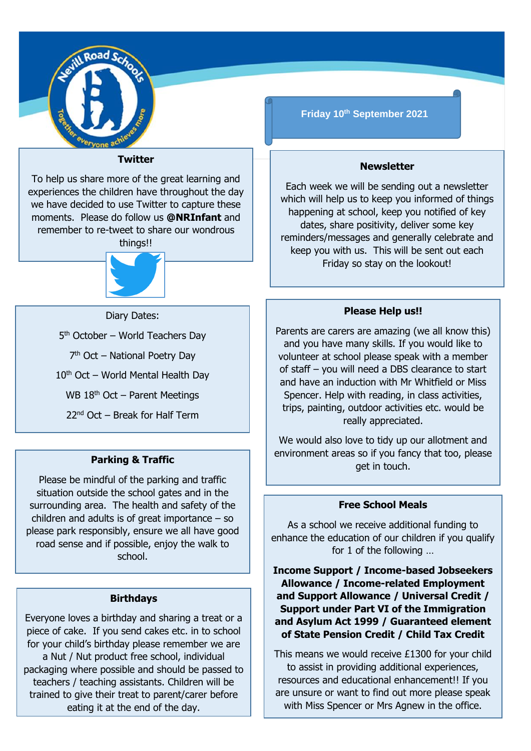

#### **Twitter**

To help us share more of the great learning and experiences the children have throughout the day we have decided to use Twitter to capture these moments. Please do follow us **@NRInfant** and remember to re-tweet to share our wondrous things!!



Diary Dates:

5<sup>th</sup> October – World Teachers Day

7 th Oct – National Poetry Day

 $10<sup>th</sup>$  Oct – World Mental Health Day

WB  $18<sup>th</sup>$  Oct – Parent Meetings

 $22<sup>nd</sup>$  Oct – Break for Half Term

## **Parking & Traffic**

Please be mindful of the parking and traffic situation outside the school gates and in the surrounding area. The health and safety of the children and adults is of great importance  $-$  so please park responsibly, ensure we all have good road sense and if possible, enjoy the walk to school.

#### **Birthdays**

Everyone loves a birthday and sharing a treat or a piece of cake. If you send cakes etc. in to school for your child's birthday please remember we are a Nut / Nut product free school, individual packaging where possible and should be passed to teachers / teaching assistants. Children will be trained to give their treat to parent/carer before eating it at the end of the day.

**Friday 10th September 2021**

#### **Newsletter**

Each week we will be sending out a newsletter which will help us to keep you informed of things happening at school, keep you notified of key dates, share positivity, deliver some key reminders/messages and generally celebrate and keep you with us. This will be sent out each Friday so stay on the lookout!

#### **Please Help us!!**

Parents are carers are amazing (we all know this) and you have many skills. If you would like to volunteer at school please speak with a member of staff – you will need a DBS clearance to start and have an induction with Mr Whitfield or Miss Spencer. Help with reading, in class activities, trips, painting, outdoor activities etc. would be really appreciated.

We would also love to tidy up our allotment and environment areas so if you fancy that too, please get in touch.

# **Free School Meals**

As a school we receive additional funding to enhance the education of our children if you qualify for 1 of the following …

**Income Support / Income-based Jobseekers Allowance / Income-related Employment and Support Allowance / Universal Credit / Support under Part VI of the Immigration and Asylum Act 1999 / Guaranteed element of State Pension Credit / Child Tax Credit** 

This means we would receive £1300 for your child to assist in providing additional experiences, resources and educational enhancement!! If you are unsure or want to find out more please speak with Miss Spencer or Mrs Agnew in the office.